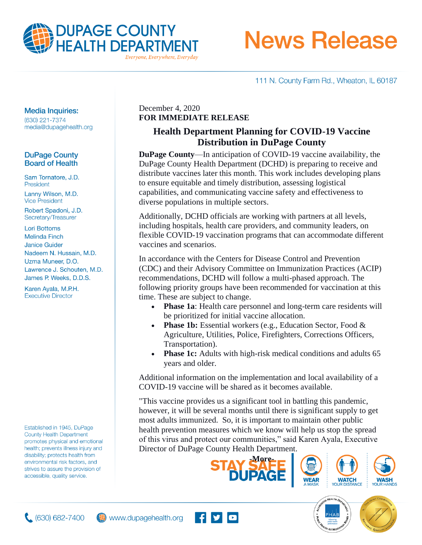

# **News Release**

111 N. County Farm Rd., Wheaton, IL 60187

#### **Media Inquiries:**

(630) 221-7374 media@dupagehealth.org

### **DuPage County Board of Health**

Sam Tornatore, J.D. President Lanny Wilson, M.D. **Vice President** 

Robert Spadoni, J.D. Secretary/Treasurer

**Lori Bottoms Melinda Finch Janice Guider** Nadeem N. Hussain, M.D. Uzma Muneer, D.O. Lawrence J. Schouten, M.D. James P. Weeks, D.D.S.

Karen Ayala, M.P.H. **Executive Director** 

Established in 1945, DuPage **County Health Department** promotes physical and emotional health; prevents illness injury and disability; protects health from environmental risk factors, and strives to assure the provision of accessible, quality service.

## December 4, 2020 **FOR IMMEDIATE RELEASE**

## **Health Department Planning for COVID-19 Vaccine Distribution in DuPage County**

**DuPage County**—In anticipation of COVID-19 vaccine availability, the DuPage County Health Department (DCHD) is preparing to receive and distribute vaccines later this month. This work includes developing plans to ensure equitable and timely distribution, assessing logistical capabilities, and communicating vaccine safety and effectiveness to diverse populations in multiple sectors.

Additionally, DCHD officials are working with partners at all levels, including hospitals, health care providers, and community leaders, on flexible COVID-19 vaccination programs that can accommodate different vaccines and scenarios.

In accordance with the Centers for Disease Control and Prevention (CDC) and their Advisory Committee on Immunization Practices (ACIP) recommendations, DCHD will follow a multi-phased approach. The following priority groups have been recommended for vaccination at this time. These are subject to change.

- **Phase 1a**: Health care personnel and long-term care residents will be prioritized for initial vaccine allocation.
- **Phase 1b:** Essential workers (e.g., Education Sector, Food & Agriculture, Utilities, Police, Firefighters, Corrections Officers, Transportation).
- **Phase 1c:** Adults with high-risk medical conditions and adults 65 years and older.

Additional information on the implementation and local availability of a COVID-19 vaccine will be shared as it becomes available.

"This vaccine provides us a significant tool in battling this pandemic, however, it will be several months until there is significant supply to get most adults immunized. So, it is important to maintain other public health prevention measures which we know will help us stop the spread of this virus and protect our communities," said Karen Ayala, Executive Director of DuPage County Health Department.









**WATCH** 



www.dupagehealth.org